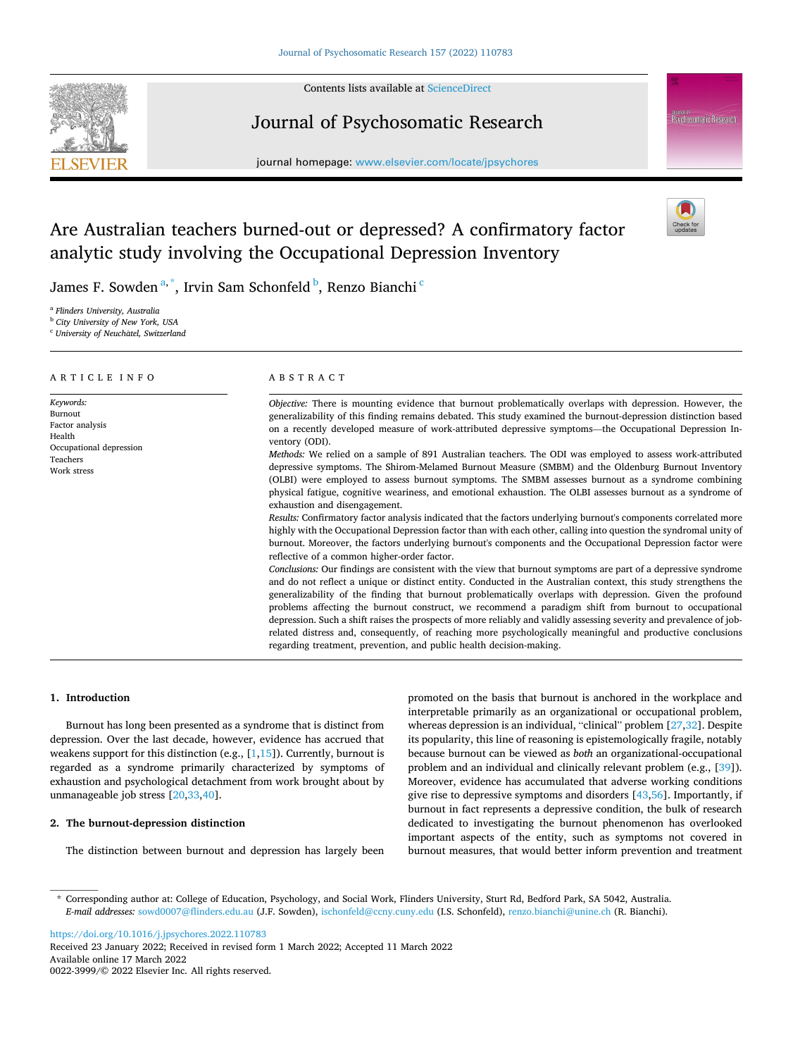

## Contents lists available at [ScienceDirect](www.sciencedirect.com/science/journal/00223999)

# Journal of Psychosomatic Research

journal homepage: [www.elsevier.com/locate/jpsychores](https://www.elsevier.com/locate/jpsychores) 



# Are Australian teachers burned-out or depressed? A confirmatory factor analytic study involving the Occupational Depression Inventory



James F. Sowden <sup>a, \*</sup>, Irvin Sam Schonfeld <sup>b</sup>, Renzo Bianchi <sup>c</sup>

<sup>a</sup> *Flinders University, Australia* 

<sup>b</sup> *City University of New York, USA* 

<sup>c</sup> *University of Neuchatel,* ˆ *Switzerland* 

#### ARTICLE INFO *Keywords:*  Burnout Factor analysis Health Occupational depression Teachers Work stress ABSTRACT *Objective:* There is mounting evidence that burnout problematically overlaps with depression. However, the generalizability of this finding remains debated. This study examined the burnout-depression distinction based on a recently developed measure of work-attributed depressive symptoms—the Occupational Depression Inventory (ODI). *Methods:* We relied on a sample of 891 Australian teachers. The ODI was employed to assess work-attributed depressive symptoms. The Shirom-Melamed Burnout Measure (SMBM) and the Oldenburg Burnout Inventory (OLBI) were employed to assess burnout symptoms. The SMBM assesses burnout as a syndrome combining physical fatigue, cognitive weariness, and emotional exhaustion. The OLBI assesses burnout as a syndrome of exhaustion and disengagement. *Results:* Confirmatory factor analysis indicated that the factors underlying burnout's components correlated more highly with the Occupational Depression factor than with each other, calling into question the syndromal unity of burnout. Moreover, the factors underlying burnout's components and the Occupational Depression factor were reflective of a common higher-order factor. *Conclusions:* Our findings are consistent with the view that burnout symptoms are part of a depressive syndrome and do not reflect a unique or distinct entity. Conducted in the Australian context, this study strengthens the generalizability of the finding that burnout problematically overlaps with depression. Given the profound problems affecting the burnout construct, we recommend a paradigm shift from burnout to occupational depression. Such a shift raises the prospects of more reliably and validly assessing severity and prevalence of jobrelated distress and, consequently, of reaching more psychologically meaningful and productive conclusions regarding treatment, prevention, and public health decision-making.

## **1. Introduction**

Burnout has long been presented as a syndrome that is distinct from depression. Over the last decade, however, evidence has accrued that weakens support for this distinction (e.g.,  $[1,15]$  $[1,15]$  $[1,15]$ ). Currently, burnout is regarded as a syndrome primarily characterized by symptoms of exhaustion and psychological detachment from work brought about by unmanageable job stress [[20,33,40](#page-4-0)].

# **2. The burnout-depression distinction**

The distinction between burnout and depression has largely been

promoted on the basis that burnout is anchored in the workplace and interpretable primarily as an organizational or occupational problem, whereas depression is an individual, "clinical" problem [[27,32](#page-4-0)]. Despite its popularity, this line of reasoning is epistemologically fragile, notably because burnout can be viewed as *both* an organizational-occupational problem and an individual and clinically relevant problem (e.g., [\[39](#page-4-0)]). Moreover, evidence has accumulated that adverse working conditions give rise to depressive symptoms and disorders [\[43](#page-4-0)[,56](#page-5-0)]. Importantly, if burnout in fact represents a depressive condition, the bulk of research dedicated to investigating the burnout phenomenon has overlooked important aspects of the entity, such as symptoms not covered in burnout measures, that would better inform prevention and treatment

\* Corresponding author at: College of Education, Psychology, and Social Work, Flinders University, Sturt Rd, Bedford Park, SA 5042, Australia. *E-mail addresses:* [sowd0007@flinders.edu.au](mailto:sowd0007@flinders.edu.au) (J.F. Sowden), [ischonfeld@ccny.cuny.edu](mailto:ischonfeld@ccny.cuny.edu) (I.S. Schonfeld), [renzo.bianchi@unine.ch](mailto:renzo.bianchi@unine.ch) (R. Bianchi).

<https://doi.org/10.1016/j.jpsychores.2022.110783>

Available online 17 March 2022 0022-3999/© 2022 Elsevier Inc. All rights reserved. Received 23 January 2022; Received in revised form 1 March 2022; Accepted 11 March 2022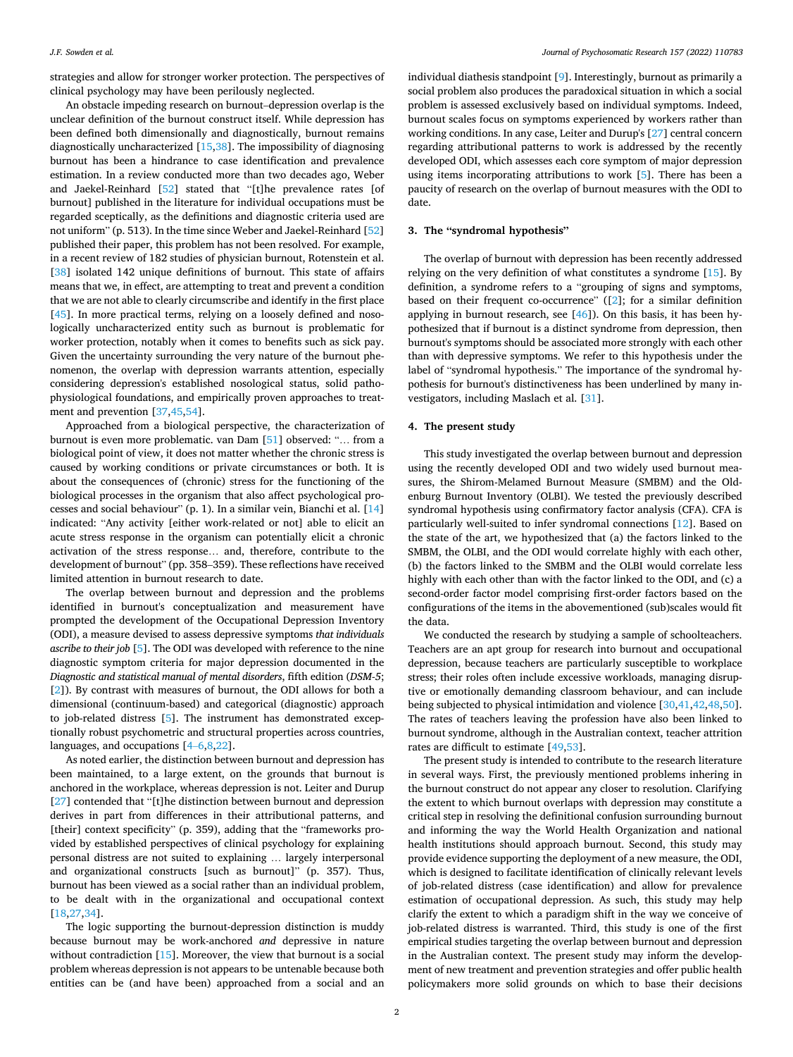strategies and allow for stronger worker protection. The perspectives of clinical psychology may have been perilously neglected.

An obstacle impeding research on burnout–depression overlap is the unclear definition of the burnout construct itself. While depression has been defined both dimensionally and diagnostically, burnout remains diagnostically uncharacterized [[15,38\]](#page-4-0). The impossibility of diagnosing burnout has been a hindrance to case identification and prevalence estimation. In a review conducted more than two decades ago, Weber and Jaekel-Reinhard [[52\]](#page-5-0) stated that "[t]he prevalence rates [of burnout] published in the literature for individual occupations must be regarded sceptically, as the definitions and diagnostic criteria used are not uniform" (p. 513). In the time since Weber and Jaekel-Reinhard [\[52](#page-5-0)] published their paper, this problem has not been resolved. For example, in a recent review of 182 studies of physician burnout, Rotenstein et al. [[38\]](#page-4-0) isolated 142 unique definitions of burnout. This state of affairs means that we, in effect, are attempting to treat and prevent a condition that we are not able to clearly circumscribe and identify in the first place [[45\]](#page-4-0). In more practical terms, relying on a loosely defined and nosologically uncharacterized entity such as burnout is problematic for worker protection, notably when it comes to benefits such as sick pay. Given the uncertainty surrounding the very nature of the burnout phenomenon, the overlap with depression warrants attention, especially considering depression's established nosological status, solid pathophysiological foundations, and empirically proven approaches to treatment and prevention [\[37,45](#page-4-0),[54\]](#page-5-0).

Approached from a biological perspective, the characterization of burnout is even more problematic. van Dam [\[51](#page-5-0)] observed: "… from a biological point of view, it does not matter whether the chronic stress is caused by working conditions or private circumstances or both. It is about the consequences of (chronic) stress for the functioning of the biological processes in the organism that also affect psychological processes and social behaviour" (p. 1). In a similar vein, Bianchi et al. [\[14](#page-4-0)] indicated: "Any activity [either work-related or not] able to elicit an acute stress response in the organism can potentially elicit a chronic activation of the stress response… and, therefore, contribute to the development of burnout" (pp. 358–359). These reflections have received limited attention in burnout research to date.

The overlap between burnout and depression and the problems identified in burnout's conceptualization and measurement have prompted the development of the Occupational Depression Inventory (ODI), a measure devised to assess depressive symptoms *that individuals ascribe to their job* [\[5\]](#page-4-0). The ODI was developed with reference to the nine diagnostic symptom criteria for major depression documented in the *Diagnostic and statistical manual of mental disorders*, fifth edition (*DSM-5*; [[2](#page-4-0)]). By contrast with measures of burnout, the ODI allows for both a dimensional (continuum-based) and categorical (diagnostic) approach to job-related distress [\[5\]](#page-4-0). The instrument has demonstrated exceptionally robust psychometric and structural properties across countries, languages, and occupations [\[4](#page-4-0)–6,[8,22](#page-4-0)].

As noted earlier, the distinction between burnout and depression has been maintained, to a large extent, on the grounds that burnout is anchored in the workplace, whereas depression is not. Leiter and Durup [[27\]](#page-4-0) contended that "[t]he distinction between burnout and depression derives in part from differences in their attributional patterns, and [their] context specificity" (p. 359), adding that the "frameworks provided by established perspectives of clinical psychology for explaining personal distress are not suited to explaining … largely interpersonal and organizational constructs [such as burnout]" (p. 357). Thus, burnout has been viewed as a social rather than an individual problem, to be dealt with in the organizational and occupational context [[18,27,34](#page-4-0)].

The logic supporting the burnout-depression distinction is muddy because burnout may be work-anchored *and* depressive in nature without contradiction [\[15](#page-4-0)]. Moreover, the view that burnout is a social problem whereas depression is not appears to be untenable because both entities can be (and have been) approached from a social and an

individual diathesis standpoint [[9](#page-4-0)]. Interestingly, burnout as primarily a social problem also produces the paradoxical situation in which a social problem is assessed exclusively based on individual symptoms. Indeed, burnout scales focus on symptoms experienced by workers rather than working conditions. In any case, Leiter and Durup's [\[27](#page-4-0)] central concern regarding attributional patterns to work is addressed by the recently developed ODI, which assesses each core symptom of major depression using items incorporating attributions to work [\[5](#page-4-0)]. There has been a paucity of research on the overlap of burnout measures with the ODI to date.

## **3. The "syndromal hypothesis"**

The overlap of burnout with depression has been recently addressed relying on the very definition of what constitutes a syndrome [\[15](#page-4-0)]. By definition, a syndrome refers to a "grouping of signs and symptoms, based on their frequent co-occurrence" ([[2](#page-4-0)]; for a similar definition applying in burnout research, see [[46\]](#page-4-0)). On this basis, it has been hypothesized that if burnout is a distinct syndrome from depression, then burnout's symptoms should be associated more strongly with each other than with depressive symptoms. We refer to this hypothesis under the label of "syndromal hypothesis." The importance of the syndromal hypothesis for burnout's distinctiveness has been underlined by many investigators, including Maslach et al. [\[31](#page-4-0)].

## **4. The present study**

This study investigated the overlap between burnout and depression using the recently developed ODI and two widely used burnout measures, the Shirom-Melamed Burnout Measure (SMBM) and the Oldenburg Burnout Inventory (OLBI). We tested the previously described syndromal hypothesis using confirmatory factor analysis (CFA). CFA is particularly well-suited to infer syndromal connections [\[12](#page-4-0)]. Based on the state of the art, we hypothesized that (a) the factors linked to the SMBM, the OLBI, and the ODI would correlate highly with each other, (b) the factors linked to the SMBM and the OLBI would correlate less highly with each other than with the factor linked to the ODI, and (c) a second-order factor model comprising first-order factors based on the configurations of the items in the abovementioned (sub)scales would fit the data.

We conducted the research by studying a sample of schoolteachers. Teachers are an apt group for research into burnout and occupational depression, because teachers are particularly susceptible to workplace stress; their roles often include excessive workloads, managing disruptive or emotionally demanding classroom behaviour, and can include being subjected to physical intimidation and violence [\[30,41](#page-4-0),[42,48,50](#page-4-0)]. The rates of teachers leaving the profession have also been linked to burnout syndrome, although in the Australian context, teacher attrition rates are difficult to estimate [\[49](#page-4-0),[53\]](#page-5-0).

The present study is intended to contribute to the research literature in several ways. First, the previously mentioned problems inhering in the burnout construct do not appear any closer to resolution. Clarifying the extent to which burnout overlaps with depression may constitute a critical step in resolving the definitional confusion surrounding burnout and informing the way the World Health Organization and national health institutions should approach burnout. Second, this study may provide evidence supporting the deployment of a new measure, the ODI, which is designed to facilitate identification of clinically relevant levels of job-related distress (case identification) and allow for prevalence estimation of occupational depression. As such, this study may help clarify the extent to which a paradigm shift in the way we conceive of job-related distress is warranted. Third, this study is one of the first empirical studies targeting the overlap between burnout and depression in the Australian context. The present study may inform the development of new treatment and prevention strategies and offer public health policymakers more solid grounds on which to base their decisions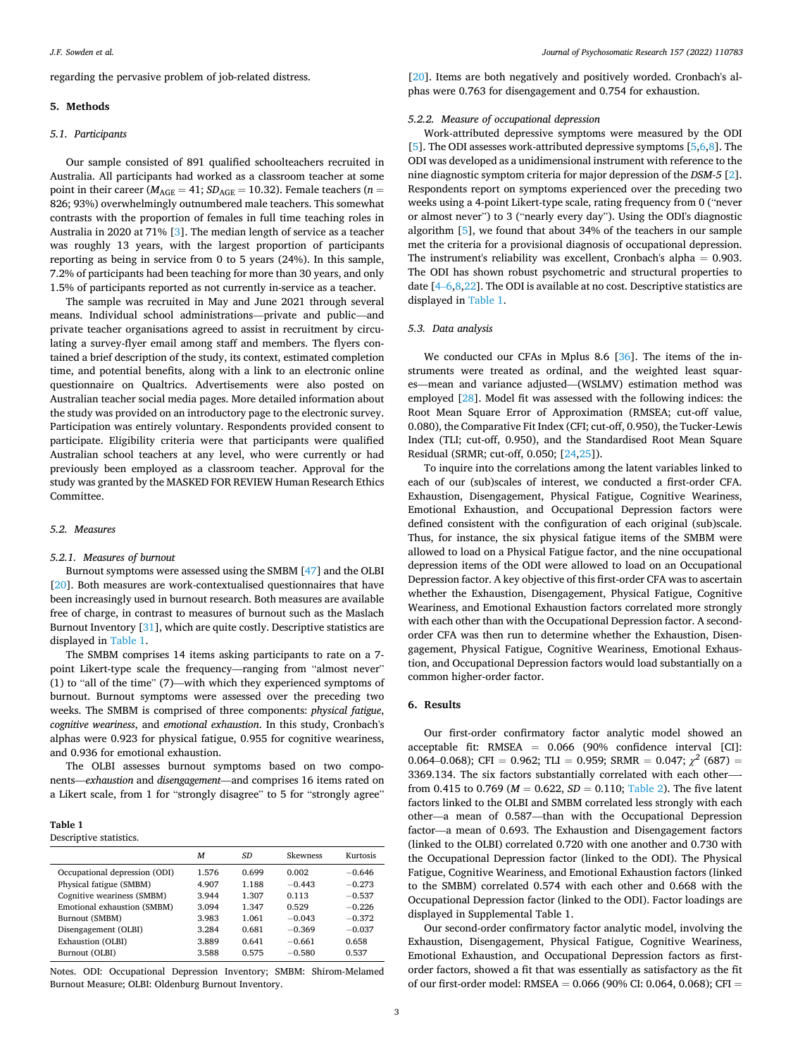regarding the pervasive problem of job-related distress.

## **5. Methods**

## *5.1. Participants*

Our sample consisted of 891 qualified schoolteachers recruited in Australia. All participants had worked as a classroom teacher at some point in their career ( $M_{\text{AGE}} = 41$ ;  $SD_{\text{AGE}} = 10.32$ ). Female teachers ( $n =$ 826; 93%) overwhelmingly outnumbered male teachers. This somewhat contrasts with the proportion of females in full time teaching roles in Australia in 2020 at 71% [\[3](#page-4-0)]. The median length of service as a teacher was roughly 13 years, with the largest proportion of participants reporting as being in service from 0 to 5 years (24%). In this sample, 7.2% of participants had been teaching for more than 30 years, and only 1.5% of participants reported as not currently in-service as a teacher.

The sample was recruited in May and June 2021 through several means. Individual school administrations—private and public—and private teacher organisations agreed to assist in recruitment by circulating a survey-flyer email among staff and members. The flyers contained a brief description of the study, its context, estimated completion time, and potential benefits, along with a link to an electronic online questionnaire on Qualtrics. Advertisements were also posted on Australian teacher social media pages. More detailed information about the study was provided on an introductory page to the electronic survey. Participation was entirely voluntary. Respondents provided consent to participate. Eligibility criteria were that participants were qualified Australian school teachers at any level, who were currently or had previously been employed as a classroom teacher. Approval for the study was granted by the MASKED FOR REVIEW Human Research Ethics Committee.

## *5.2. Measures*

#### *5.2.1. Measures of burnout*

Burnout symptoms were assessed using the SMBM [\[47](#page-4-0)] and the OLBI [[20\]](#page-4-0). Both measures are work-contextualised questionnaires that have been increasingly used in burnout research. Both measures are available free of charge, in contrast to measures of burnout such as the Maslach Burnout Inventory [\[31](#page-4-0)], which are quite costly. Descriptive statistics are displayed in Table 1.

The SMBM comprises 14 items asking participants to rate on a 7 point Likert-type scale the frequency—ranging from "almost never" (1) to "all of the time" (7)—with which they experienced symptoms of burnout. Burnout symptoms were assessed over the preceding two weeks. The SMBM is comprised of three components: *physical fatigue*, *cognitive weariness*, and *emotional exhaustion*. In this study, Cronbach's alphas were 0.923 for physical fatigue, 0.955 for cognitive weariness, and 0.936 for emotional exhaustion.

The OLBI assesses burnout symptoms based on two components—*exhaustion* and *disengagement*—and comprises 16 items rated on a Likert scale, from 1 for "strongly disagree" to 5 for "strongly agree"

## **Table 1**  Descriptive statistics.

|                                                       | M              | SD             | Skewness          | Kurtosis             |
|-------------------------------------------------------|----------------|----------------|-------------------|----------------------|
| Occupational depression (ODI)                         | 1.576          | 0.699          | 0.002             | $-0.646$             |
| Physical fatigue (SMBM)<br>Cognitive weariness (SMBM) | 4.907<br>3.944 | 1.188<br>1.307 | $-0.443$<br>0.113 | $-0.273$<br>$-0.537$ |
| Emotional exhaustion (SMBM)                           | 3.094          | 1.347          | 0.529             | $-0.226$             |
| Burnout (SMBM)                                        | 3.983          | 1.061          | $-0.043$          | $-0.372$             |
| Disengagement (OLBI)                                  | 3.284          | 0.681          | $-0.369$          | $-0.037$             |
| Exhaustion (OLBI)                                     | 3.889          | 0.641          | $-0.661$          | 0.658                |
| Burnout (OLBI)                                        | 3.588          | 0.575          | $-0.580$          | 0.537                |

Notes. ODI: Occupational Depression Inventory; SMBM: Shirom-Melamed Burnout Measure; OLBI: Oldenburg Burnout Inventory.

[[20\]](#page-4-0). Items are both negatively and positively worded. Cronbach's alphas were 0.763 for disengagement and 0.754 for exhaustion.

## *5.2.2. Measure of occupational depression*

Work-attributed depressive symptoms were measured by the ODI [[5](#page-4-0)]. The ODI assesses work-attributed depressive symptoms [\[5,6](#page-4-0),[8\]](#page-4-0). The ODI was developed as a unidimensional instrument with reference to the nine diagnostic symptom criteria for major depression of the *DSM-5* [[2](#page-4-0)]. Respondents report on symptoms experienced over the preceding two weeks using a 4-point Likert-type scale, rating frequency from 0 ("never or almost never") to 3 ("nearly every day"). Using the ODI's diagnostic algorithm [\[5\]](#page-4-0), we found that about 34% of the teachers in our sample met the criteria for a provisional diagnosis of occupational depression. The instrument's reliability was excellent, Cronbach's alpha  $= 0.903$ . The ODI has shown robust psychometric and structural properties to date [4–[6,8,22\]](#page-4-0). The ODI is available at no cost. Descriptive statistics are displayed in Table 1.

## *5.3. Data analysis*

We conducted our CFAs in Mplus 8.6 [[36\]](#page-4-0). The items of the instruments were treated as ordinal, and the weighted least squares—mean and variance adjusted—(WSLMV) estimation method was employed [\[28](#page-4-0)]. Model fit was assessed with the following indices: the Root Mean Square Error of Approximation (RMSEA; cut-off value, 0.080), the Comparative Fit Index (CFI; cut-off, 0.950), the Tucker-Lewis Index (TLI; cut-off, 0.950), and the Standardised Root Mean Square Residual (SRMR; cut-off, 0.050; [\[24,25](#page-4-0)]).

To inquire into the correlations among the latent variables linked to each of our (sub)scales of interest, we conducted a first-order CFA. Exhaustion, Disengagement, Physical Fatigue, Cognitive Weariness, Emotional Exhaustion, and Occupational Depression factors were defined consistent with the configuration of each original (sub)scale. Thus, for instance, the six physical fatigue items of the SMBM were allowed to load on a Physical Fatigue factor, and the nine occupational depression items of the ODI were allowed to load on an Occupational Depression factor. A key objective of this first-order CFA was to ascertain whether the Exhaustion, Disengagement, Physical Fatigue, Cognitive Weariness, and Emotional Exhaustion factors correlated more strongly with each other than with the Occupational Depression factor. A secondorder CFA was then run to determine whether the Exhaustion, Disengagement, Physical Fatigue, Cognitive Weariness, Emotional Exhaustion, and Occupational Depression factors would load substantially on a common higher-order factor.

# **6. Results**

Our first-order confirmatory factor analytic model showed an acceptable fit: RMSEA = 0.066 (90% confidence interval [CI]: 0.064–0.068); CFI = 0.962; TLI = 0.959; SRMR = 0.047;  $\chi^2$  (687) = 3369.134. The six factors substantially correlated with each other—from 0.415 to 0.769 ( $M = 0.622$ ,  $SD = 0.110$ ; [Table 2](#page-3-0)). The five latent factors linked to the OLBI and SMBM correlated less strongly with each other—a mean of 0.587—than with the Occupational Depression factor—a mean of 0.693. The Exhaustion and Disengagement factors (linked to the OLBI) correlated 0.720 with one another and 0.730 with the Occupational Depression factor (linked to the ODI). The Physical Fatigue, Cognitive Weariness, and Emotional Exhaustion factors (linked to the SMBM) correlated 0.574 with each other and 0.668 with the Occupational Depression factor (linked to the ODI). Factor loadings are displayed in Supplemental Table 1.

Our second-order confirmatory factor analytic model, involving the Exhaustion, Disengagement, Physical Fatigue, Cognitive Weariness, Emotional Exhaustion, and Occupational Depression factors as firstorder factors, showed a fit that was essentially as satisfactory as the fit of our first-order model: RMSEA = 0.066 (90% CI: 0.064, 0.068); CFI =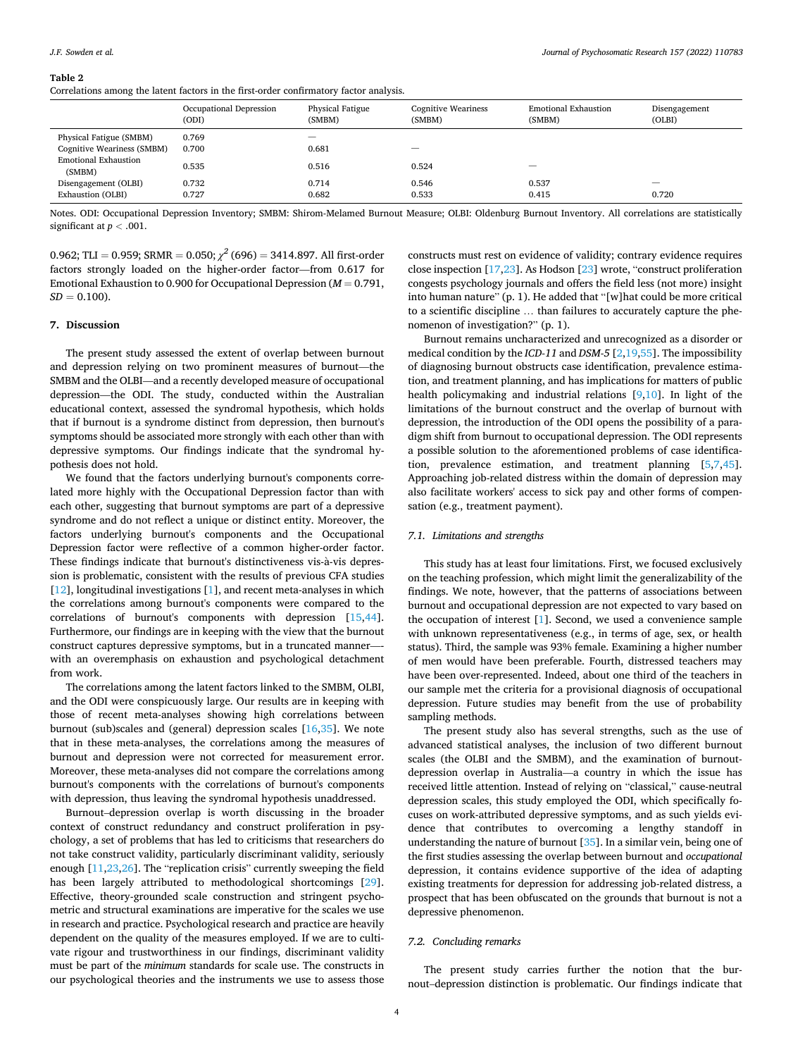<span id="page-3-0"></span>Correlations among the latent factors in the first-order confirmatory factor analysis.

|                                       | Occupational Depression<br>(ODI) | Physical Fatigue<br>(SMBM) | <b>Cognitive Weariness</b><br>(SMBM) | <b>Emotional Exhaustion</b><br>(SMBM) | Disengagement<br>(OLBI) |  |
|---------------------------------------|----------------------------------|----------------------------|--------------------------------------|---------------------------------------|-------------------------|--|
| Physical Fatigue (SMBM)               | 0.769                            |                            |                                      |                                       |                         |  |
| Cognitive Weariness (SMBM)            | 0.700                            | 0.681                      | _                                    |                                       |                         |  |
| <b>Emotional Exhaustion</b><br>(SMBM) | 0.535                            | 0.516                      | 0.524                                |                                       |                         |  |
| Disengagement (OLBI)                  | 0.732                            | 0.714                      | 0.546                                | 0.537                                 |                         |  |
| Exhaustion (OLBI)                     | 0.727                            | 0.682                      | 0.533                                | 0.415                                 | 0.720                   |  |

Notes. ODI: Occupational Depression Inventory; SMBM: Shirom-Melamed Burnout Measure; OLBI: Oldenburg Burnout Inventory. All correlations are statistically significant at *p <* .001.

0.962; TLI = 0.959; SRMR = 0.050;  $\chi^2$  (696) = 3414.897. All first-order factors strongly loaded on the higher-order factor—from 0.617 for Emotional Exhaustion to 0.900 for Occupational Depression  $(M = 0.791)$ ,  $SD = 0.100$ .

### **7. Discussion**

The present study assessed the extent of overlap between burnout and depression relying on two prominent measures of burnout—the SMBM and the OLBI—and a recently developed measure of occupational depression—the ODI. The study, conducted within the Australian educational context, assessed the syndromal hypothesis, which holds that if burnout is a syndrome distinct from depression, then burnout's symptoms should be associated more strongly with each other than with depressive symptoms. Our findings indicate that the syndromal hypothesis does not hold.

We found that the factors underlying burnout's components correlated more highly with the Occupational Depression factor than with each other, suggesting that burnout symptoms are part of a depressive syndrome and do not reflect a unique or distinct entity. Moreover, the factors underlying burnout's components and the Occupational Depression factor were reflective of a common higher-order factor. These findings indicate that burnout's distinctiveness vis-à-vis depression is problematic, consistent with the results of previous CFA studies [[12\]](#page-4-0), longitudinal investigations [\[1\]](#page-4-0), and recent meta-analyses in which the correlations among burnout's components were compared to the correlations of burnout's components with depression [[15,44](#page-4-0)]. Furthermore, our findings are in keeping with the view that the burnout construct captures depressive symptoms, but in a truncated mannerwith an overemphasis on exhaustion and psychological detachment from work.

The correlations among the latent factors linked to the SMBM, OLBI, and the ODI were conspicuously large. Our results are in keeping with those of recent meta-analyses showing high correlations between burnout (sub)scales and (general) depression scales [[16,35\]](#page-4-0). We note that in these meta-analyses, the correlations among the measures of burnout and depression were not corrected for measurement error. Moreover, these meta-analyses did not compare the correlations among burnout's components with the correlations of burnout's components with depression, thus leaving the syndromal hypothesis unaddressed.

Burnout–depression overlap is worth discussing in the broader context of construct redundancy and construct proliferation in psychology, a set of problems that has led to criticisms that researchers do not take construct validity, particularly discriminant validity, seriously enough [\[11,23](#page-4-0),[26](#page-4-0)]. The "replication crisis" currently sweeping the field has been largely attributed to methodological shortcomings [\[29](#page-4-0)]. Effective, theory-grounded scale construction and stringent psychometric and structural examinations are imperative for the scales we use in research and practice. Psychological research and practice are heavily dependent on the quality of the measures employed. If we are to cultivate rigour and trustworthiness in our findings, discriminant validity must be part of the *minimum* standards for scale use. The constructs in our psychological theories and the instruments we use to assess those

constructs must rest on evidence of validity; contrary evidence requires close inspection [\[17,23](#page-4-0)]. As Hodson [\[23\]](#page-4-0) wrote, "construct proliferation congests psychology journals and offers the field less (not more) insight into human nature" (p. 1). He added that "[w]hat could be more critical to a scientific discipline … than failures to accurately capture the phenomenon of investigation?" (p. 1).

Burnout remains uncharacterized and unrecognized as a disorder or medical condition by the *ICD-11* and *DSM-5* [\[2,19](#page-4-0)[,55](#page-5-0)]. The impossibility of diagnosing burnout obstructs case identification, prevalence estimation, and treatment planning, and has implications for matters of public health policymaking and industrial relations [\[9,10\]](#page-4-0). In light of the limitations of the burnout construct and the overlap of burnout with depression, the introduction of the ODI opens the possibility of a paradigm shift from burnout to occupational depression. The ODI represents a possible solution to the aforementioned problems of case identification, prevalence estimation, and treatment planning [[5,7,45](#page-4-0)]. Approaching job-related distress within the domain of depression may also facilitate workers' access to sick pay and other forms of compensation (e.g., treatment payment).

#### *7.1. Limitations and strengths*

This study has at least four limitations. First, we focused exclusively on the teaching profession, which might limit the generalizability of the findings. We note, however, that the patterns of associations between burnout and occupational depression are not expected to vary based on the occupation of interest [[1](#page-4-0)]. Second, we used a convenience sample with unknown representativeness (e.g., in terms of age, sex, or health status). Third, the sample was 93% female. Examining a higher number of men would have been preferable. Fourth, distressed teachers may have been over-represented. Indeed, about one third of the teachers in our sample met the criteria for a provisional diagnosis of occupational depression. Future studies may benefit from the use of probability sampling methods.

The present study also has several strengths, such as the use of advanced statistical analyses, the inclusion of two different burnout scales (the OLBI and the SMBM), and the examination of burnoutdepression overlap in Australia—a country in which the issue has received little attention. Instead of relying on "classical," cause-neutral depression scales, this study employed the ODI, which specifically focuses on work-attributed depressive symptoms, and as such yields evidence that contributes to overcoming a lengthy standoff in understanding the nature of burnout [[35\]](#page-4-0). In a similar vein, being one of the first studies assessing the overlap between burnout and *occupational*  depression, it contains evidence supportive of the idea of adapting existing treatments for depression for addressing job-related distress, a prospect that has been obfuscated on the grounds that burnout is not a depressive phenomenon.

## *7.2. Concluding remarks*

The present study carries further the notion that the burnout–depression distinction is problematic. Our findings indicate that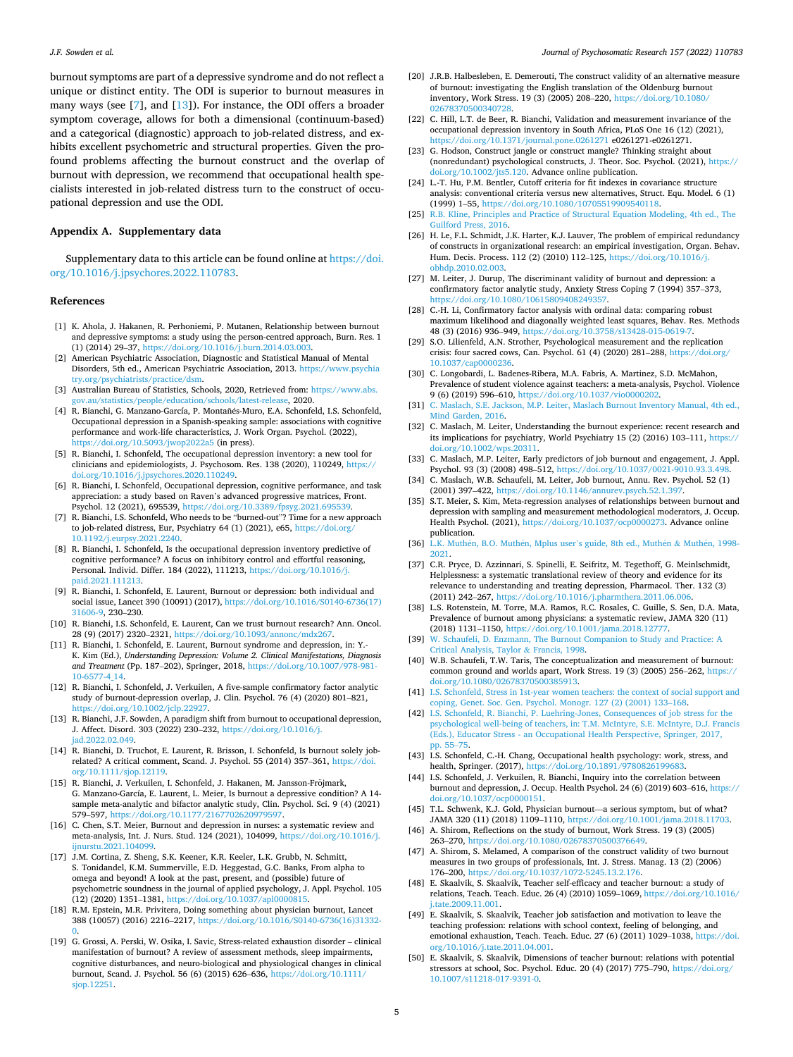<span id="page-4-0"></span>burnout symptoms are part of a depressive syndrome and do not reflect a unique or distinct entity. The ODI is superior to burnout measures in many ways (see [7], and [13]). For instance, the ODI offers a broader symptom coverage, allows for both a dimensional (continuum-based) and a categorical (diagnostic) approach to job-related distress, and exhibits excellent psychometric and structural properties. Given the profound problems affecting the burnout construct and the overlap of burnout with depression, we recommend that occupational health specialists interested in job-related distress turn to the construct of occupational depression and use the ODI.

## **Appendix A. Supplementary data**

Supplementary data to this article can be found online at [https://doi.](https://doi.org/10.1016/j.jpsychores.2022.110783)  [org/10.1016/j.jpsychores.2022.110783](https://doi.org/10.1016/j.jpsychores.2022.110783).

#### **References**

- [1] K. Ahola, J. Hakanen, R. Perhoniemi, P. Mutanen, Relationship between burnout and depressive symptoms: a study using the person-centred approach, Burn. Res. 1 (1) (2014) 29–37, [https://doi.org/10.1016/j.burn.2014.03.003.](https://doi.org/10.1016/j.burn.2014.03.003)
- [2] American Psychiatric Association, Diagnostic and Statistical Manual of Mental Disorders, 5th ed., American Psychiatric Association, 2013. [https://www.psychia](https://www.psychiatry.org/psychiatrists/practice/dsm) [try.org/psychiatrists/practice/dsm.](https://www.psychiatry.org/psychiatrists/practice/dsm)
- [3] Australian Bureau of Statistics, Schools, 2020, Retrieved from: [https://www.abs.](https://www.abs.gov.au/statistics/people/education/schools/latest-release)  ov.au/statistics/people/education/schools/latest-release, 2020.
- [4] R. Bianchi, G. Manzano-García, P. Montañés-Muro, E.A. Schonfeld, I.S. Schonfeld, Occupational depression in a Spanish-speaking sample: associations with cognitive performance and work-life characteristics, J. Work Organ. Psychol. (2022), <https://doi.org/10.5093/jwop2022a5>(in press).
- [5] R. Bianchi, I. Schonfeld, The occupational depression inventory: a new tool for clinicians and epidemiologists, J. Psychosom. Res. 138 (2020), 110249, [https://](https://doi.org/10.1016/j.jpsychores.2020.110249)  [doi.org/10.1016/j.jpsychores.2020.110249](https://doi.org/10.1016/j.jpsychores.2020.110249).
- [6] R. Bianchi, I. Schonfeld, Occupational depression, cognitive performance, and task appreciation: a study based on Raven's advanced progressive matrices, Front. Psychol. 12 (2021), 695539, https://doi.org/10.3389/fpsyg.2021.695
- [7] R. Bianchi, I.S. Schonfeld, Who needs to be "burned-out"? Time for a new approach to job-related distress, Eur, Psychiatry 64 (1) (2021), e65, [https://doi.org/](https://doi.org/10.1192/j.eurpsy.2021.2240) [10.1192/j.eurpsy.2021.2240](https://doi.org/10.1192/j.eurpsy.2021.2240).
- [8] R. Bianchi, I. Schonfeld, Is the occupational depression inventory predictive of cognitive performance? A focus on inhibitory control and effortful reasoning, Personal. Individ. Differ. 184 (2022), 111213, [https://doi.org/10.1016/j.](https://doi.org/10.1016/j.paid.2021.111213)  [paid.2021.111213.](https://doi.org/10.1016/j.paid.2021.111213)
- [9] R. Bianchi, I. Schonfeld, E. Laurent, Burnout or depression: both individual and social issue, Lancet 390 (10091) (2017), [https://doi.org/10.1016/S0140-6736\(17\)](https://doi.org/10.1016/S0140-6736(17)31606-9)  [31606-9,](https://doi.org/10.1016/S0140-6736(17)31606-9) 230–230.
- [10] R. Bianchi, I.S. Schonfeld, E. Laurent, Can we trust burnout research? Ann. Oncol. 28 (9) (2017) 2320–2321, [https://doi.org/10.1093/annonc/mdx267.](https://doi.org/10.1093/annonc/mdx267)
- [11] R. Bianchi, I. Schonfeld, E. Laurent, Burnout syndrome and depression, in: Y.- K. Kim (Ed.), *Understanding Depression: Volume 2. Clinical Manifestations, Diagnosis and Treatment* (Pp. 187–202), Springer, 2018, [https://doi.org/10.1007/978-981-](https://doi.org/10.1007/978-981-10-6577-4_14)  [10-6577-4\\_14.](https://doi.org/10.1007/978-981-10-6577-4_14)
- [12] R. Bianchi, I. Schonfeld, J. Verkuilen, A five-sample confirmatory factor analytic study of burnout-depression overlap, J. Clin. Psychol. 76 (4) (2020) 801–821, [https://doi.org/10.1002/jclp.22927.](https://doi.org/10.1002/jclp.22927)
- [13] R. Bianchi, J.F. Sowden, A paradigm shift from burnout to occupational depression, J. Affect. Disord. 303 (2022) 230–232, [https://doi.org/10.1016/j.](https://doi.org/10.1016/j.jad.2022.02.049) ad.2022.02.049
- [14] R. Bianchi, D. Truchot, E. Laurent, R. Brisson, I. Schonfeld, Is burnout solely jobrelated? A critical comment, Scand. J. Psychol. 55 (2014) 357–361, [https://doi.](https://doi.org/10.1111/sjop.12119)  [org/10.1111/sjop.12119](https://doi.org/10.1111/sjop.12119).
- [15] R. Bianchi, J. Verkuilen, I. Schonfeld, J. Hakanen, M. Jansson-Fröjmark, G. Manzano-García, E. Laurent, L. Meier, Is burnout a depressive condition? A 14 sample meta-analytic and bifactor analytic study, Clin. Psychol. Sci. 9 (4) (2021) 579–597, <https://doi.org/10.1177/2167702620979597>.
- [16] C. Chen, S.T. Meier, Burnout and depression in nurses: a systematic review and meta-analysis, Int. J. Nurs. Stud. 124 (2021), 104099, [https://doi.org/10.1016/j.](https://doi.org/10.1016/j.ijnurstu.2021.104099)  inurstu.2021.104099.
- [17] J.M. Cortina, Z. Sheng, S.K. Keener, K.R. Keeler, L.K. Grubb, N. Schmitt, S. Tonidandel, K.M. Summerville, E.D. Heggestad, G.C. Banks, From alpha to omega and beyond! A look at the past, present, and (possible) future of psychometric soundness in the journal of applied psychology, J. Appl. Psychol. 105 (12) (2020) 1351–1381, [https://doi.org/10.1037/apl0000815.](https://doi.org/10.1037/apl0000815)
- [18] R.M. Epstein, M.R. Privitera, Doing something about physician burnout, Lancet 388 (10057) (2016) 2216–2217, [https://doi.org/10.1016/S0140-6736\(16\)31332-](https://doi.org/10.1016/S0140-6736(16)31332-0)  [0.](https://doi.org/10.1016/S0140-6736(16)31332-0)
- [19] G. Grossi, A. Perski, W. Osika, I. Savic, Stress-related exhaustion disorder clinical manifestation of burnout? A review of assessment methods, sleep impairments, cognitive disturbances, and neuro-biological and physiological changes in clinical burnout, Scand. J. Psychol. 56 (6) (2015) 626–636, [https://doi.org/10.1111/](https://doi.org/10.1111/sjop.12251) [sjop.12251](https://doi.org/10.1111/sjop.12251).
- [20] J.R.B. Halbesleben, E. Demerouti, The construct validity of an alternative measure of burnout: investigating the English translation of the Oldenburg burnout inventory, Work Stress. 19 (3) (2005) 208–220, [https://doi.org/10.1080/](https://doi.org/10.1080/02678370500340728) 0260340728
- [22] C. Hill, L.T. de Beer, R. Bianchi, Validation and measurement invariance of the occupational depression inventory in South Africa, PLoS One 16 (12) (2021), //doi.org/10.1371/journal.pone.0261271 e0261271-e0261271.
- [23] G. Hodson, Construct jangle or construct mangle? Thinking straight about (nonredundant) psychological constructs, J. Theor. Soc. Psychol. (2021), [https://](https://doi.org/10.1002/jts5.120)  [doi.org/10.1002/jts5.120.](https://doi.org/10.1002/jts5.120) Advance online publication.
- [24] L.-T. Hu, P.M. Bentler, Cutoff criteria for fit indexes in covariance structure analysis: conventional criteria versus new alternatives, Struct. Equ. Model. 6 (1) (1999) 1–55,<https://doi.org/10.1080/10705519909540118>.
- [25] [R.B. Kline, Principles and Practice of Structural Equation Modeling, 4th ed., The](http://refhub.elsevier.com/S0022-3999(22)00068-X/rf0125)  [Guilford Press, 2016](http://refhub.elsevier.com/S0022-3999(22)00068-X/rf0125).
- [26] H. Le, F.L. Schmidt, J.K. Harter, K.J. Lauver, The problem of empirical redundancy of constructs in organizational research: an empirical investigation, Organ. Behav. Hum. Decis. Process. 112 (2) (2010) 112–125, [https://doi.org/10.1016/j.](https://doi.org/10.1016/j.obhdp.2010.02.003) [obhdp.2010.02.003.](https://doi.org/10.1016/j.obhdp.2010.02.003)
- [27] M. Leiter, J. Durup, The discriminant validity of burnout and depression: a confirmatory factor analytic study, Anxiety Stress Coping 7 (1994) 357–373, [https://doi.org/10.1080/10615809408249357.](https://doi.org/10.1080/10615809408249357)
- [28] C.-H. Li, Confirmatory factor analysis with ordinal data: comparing robust maximum likelihood and diagonally weighted least squares, Behav. Res. Methods 48 (3) (2016) 936–949, [https://doi.org/10.3758/s13428-015-0619-7.](https://doi.org/10.3758/s13428-015-0619-7)
- [29] S.O. Lilienfeld, A.N. Strother, Psychological measurement and the replication crisis: four sacred cows, Can. Psychol. 61 (4) (2020) 281–288, [https://doi.org/](https://doi.org/10.1037/cap0000236)  [10.1037/cap0000236](https://doi.org/10.1037/cap0000236).
- [30] C. Longobardi, L. Badenes-Ribera, M.A. Fabris, A. Martinez, S.D. McMahon, Prevalence of student violence against teachers: a meta-analysis, Psychol. Violence 9 (6) (2019) 596–610, [https://doi.org/10.1037/vio0000202.](https://doi.org/10.1037/vio0000202)
- [31] [C. Maslach, S.E. Jackson, M.P. Leiter, Maslach Burnout Inventory Manual, 4th ed.,](http://refhub.elsevier.com/S0022-3999(22)00068-X/rf0155)  [Mind Garden, 2016.](http://refhub.elsevier.com/S0022-3999(22)00068-X/rf0155)
- [32] C. Maslach, M. Leiter, Understanding the burnout experience: recent research and its implications for psychiatry, World Psychiatry 15 (2) (2016) 103–111, [https://](https://doi.org/10.1002/wps.20311) [doi.org/10.1002/wps.20311.](https://doi.org/10.1002/wps.20311)
- [33] C. Maslach, M.P. Leiter, Early predictors of job burnout and engagement, J. Appl. Psychol. 93 (3) (2008) 498-512, https://doi.org/10.1037/0021-9010.93.
- [34] C. Maslach, W.B. Schaufeli, M. Leiter, Job burnout, Annu. Rev. Psychol. 52 (1) (2001) 397–422, [https://doi.org/10.1146/annurev.psych.52.1.397.](https://doi.org/10.1146/annurev.psych.52.1.397)
- [35] S.T. Meier, S. Kim, Meta-regression analyses of relationships between burnout and depression with sampling and measurement methodological moderators, J. Occup. Health Psychol. (2021), [https://doi.org/10.1037/ocp0000273.](https://doi.org/10.1037/ocp0000273) Advance online publication.
- [36] L.K. Muthén, B.O. Muthén, Mplus user'[s guide, 8th ed., Muth](http://refhub.elsevier.com/S0022-3999(22)00068-X/rf0180)én & Muthén, 1998-[2021](http://refhub.elsevier.com/S0022-3999(22)00068-X/rf0180).
- [37] C.R. Pryce, D. Azzinnari, S. Spinelli, E. Seifritz, M. Tegethoff, G. Meinlschmidt, Helplessness: a systematic translational review of theory and evidence for its relevance to understanding and treating depression, Pharmacol. Ther. 132 (3) (2011) 242–267, <https://doi.org/10.1016/j.pharmthera.2011.06.006>.
- [38] L.S. Rotenstein, M. Torre, M.A. Ramos, R.C. Rosales, C. Guille, S. Sen, D.A. Mata, Prevalence of burnout among physicians: a systematic review, JAMA 320 (11) (2018) 1131–1150, [https://doi.org/10.1001/jama.2018.12777.](https://doi.org/10.1001/jama.2018.12777)
- [39] [W. Schaufeli, D. Enzmann, The Burnout Companion to Study and Practice: A](http://refhub.elsevier.com/S0022-3999(22)00068-X/rf0195)  [Critical Analysis, Taylor](http://refhub.elsevier.com/S0022-3999(22)00068-X/rf0195) & Francis, 1998.
- [40] W.B. Schaufeli, T.W. Taris, The conceptualization and measurement of burnout: common ground and worlds apart, Work Stress. 19 (3) (2005) 256–262, [https://](https://doi.org/10.1080/02678370500385913)  [doi.org/10.1080/02678370500385913.](https://doi.org/10.1080/02678370500385913)
- [41] [I.S. Schonfeld, Stress in 1st-year women teachers: the context of social support and](http://refhub.elsevier.com/S0022-3999(22)00068-X/rf0205)  [coping, Genet. Soc. Gen. Psychol. Monogr. 127 \(2\) \(2001\) 133](http://refhub.elsevier.com/S0022-3999(22)00068-X/rf0205)–168.
- [42] [I.S. Schonfeld, R. Bianchi, P. Luehring-Jones, Consequences of job stress for the](http://refhub.elsevier.com/S0022-3999(22)00068-X/rf0210) [psychological well-being of teachers, in: T.M. McIntyre, S.E. McIntyre, D.J. Francis](http://refhub.elsevier.com/S0022-3999(22)00068-X/rf0210)  [\(Eds.\), Educator Stress - an Occupational Health Perspective, Springer, 2017,](http://refhub.elsevier.com/S0022-3999(22)00068-X/rf0210)  [pp. 55](http://refhub.elsevier.com/S0022-3999(22)00068-X/rf0210)–75.
- [43] I.S. Schonfeld, C.-H. Chang, Occupational health psychology: work, stress, and health, Springer. (2017), <https://doi.org/10.1891/9780826199683>.
- [44] I.S. Schonfeld, J. Verkuilen, R. Bianchi, Inquiry into the correlation between burnout and depression, J. Occup. Health Psychol. 24 (6) (2019) 603–616, [https://](https://doi.org/10.1037/ocp0000151)  [doi.org/10.1037/ocp0000151.](https://doi.org/10.1037/ocp0000151)
- [45] T.L. Schwenk, K.J. Gold, Physician burnout—a serious symptom, but of what? JAMA 320 (11) (2018) 1109–1110, <https://doi.org/10.1001/jama.2018.11703>.
- [46] A. Shirom, Reflections on the study of burnout, Work Stress. 19 (3) (2005) 263–270, [https://doi.org/10.1080/02678370500376649.](https://doi.org/10.1080/02678370500376649)
- [47] A. Shirom, S. Melamed, A comparison of the construct validity of two burnout measures in two groups of professionals, Int. J. Stress. Manag. 13 (2) (2006) 176–200, <https://doi.org/10.1037/1072-5245.13.2.176>.
- [48] E. Skaalvik, S. Skaalvik, Teacher self-efficacy and teacher burnout: a study of relations, Teach. Teach. Educ. 26 (4) (2010) 1059–1069, [https://doi.org/10.1016/](https://doi.org/10.1016/j.tate.2009.11.001)  [j.tate.2009.11.001](https://doi.org/10.1016/j.tate.2009.11.001).
- [49] E. Skaalvik, S. Skaalvik, Teacher job satisfaction and motivation to leave the teaching profession: relations with school context, feeling of belonging, and emotional exhaustion, Teach. Teach. Educ. 27 (6) (2011) 1029–1038, [https://doi.](https://doi.org/10.1016/j.tate.2011.04.001)  [org/10.1016/j.tate.2011.04.001](https://doi.org/10.1016/j.tate.2011.04.001).
- [50] E. Skaalvik, S. Skaalvik, Dimensions of teacher burnout: relations with potential stressors at school, Soc. Psychol. Educ. 20 (4) (2017) 775–790, [https://doi.org/](https://doi.org/10.1007/s11218-017-9391-0)  [10.1007/s11218-017-9391-0.](https://doi.org/10.1007/s11218-017-9391-0)